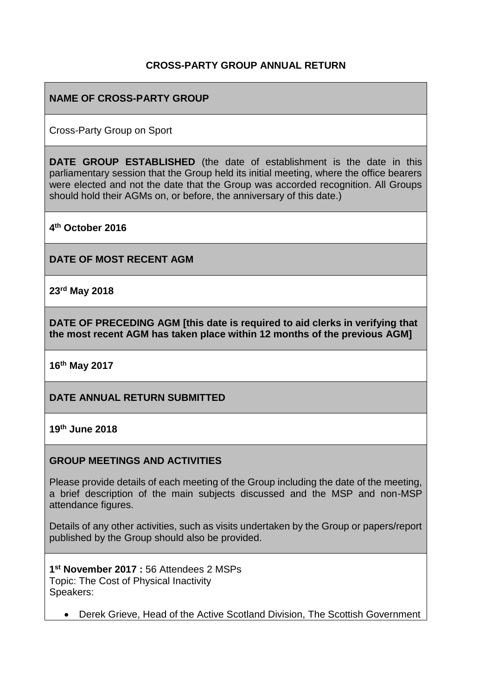#### **CROSS-PARTY GROUP ANNUAL RETURN**

### **NAME OF CROSS-PARTY GROUP**

Cross-Party Group on Sport

**DATE GROUP ESTABLISHED** (the date of establishment is the date in this parliamentary session that the Group held its initial meeting, where the office bearers were elected and not the date that the Group was accorded recognition. All Groups should hold their AGMs on, or before, the anniversary of this date.)

**4 th October 2016**

**DATE OF MOST RECENT AGM**

**23rd May 2018**

**DATE OF PRECEDING AGM [this date is required to aid clerks in verifying that the most recent AGM has taken place within 12 months of the previous AGM]**

**16th May 2017**

**DATE ANNUAL RETURN SUBMITTED**

**19th June 2018**

#### **GROUP MEETINGS AND ACTIVITIES**

Please provide details of each meeting of the Group including the date of the meeting, a brief description of the main subjects discussed and the MSP and non-MSP attendance figures.

Details of any other activities, such as visits undertaken by the Group or papers/report published by the Group should also be provided.

**1 st November 2017 :** 56 Attendees 2 MSPs Topic: The Cost of Physical Inactivity Speakers:

• Derek Grieve, Head of the Active Scotland Division, The Scottish Government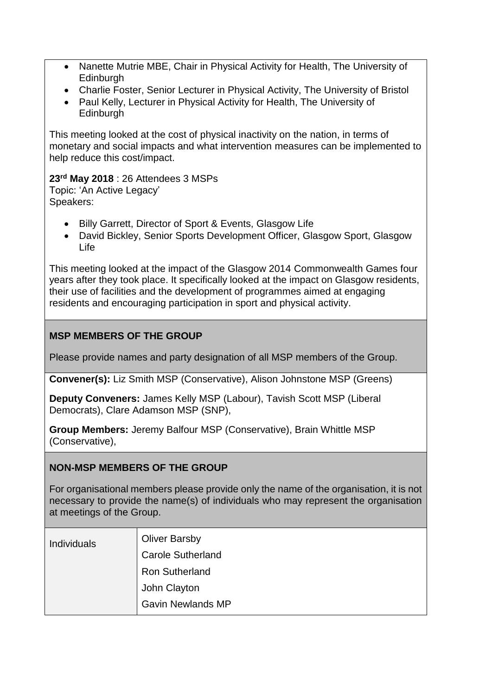- Nanette Mutrie MBE, Chair in Physical Activity for Health, The University of **Edinburgh**
- Charlie Foster, Senior Lecturer in Physical Activity, The University of Bristol
- Paul Kelly, Lecturer in Physical Activity for Health, The University of **Edinburgh**

This meeting looked at the cost of physical inactivity on the nation, in terms of monetary and social impacts and what intervention measures can be implemented to help reduce this cost/impact.

**23rd May 2018** : 26 Attendees 3 MSPs Topic: 'An Active Legacy' Speakers:

- Billy Garrett, Director of Sport & Events, Glasgow Life
- David Bickley, Senior Sports Development Officer, Glasgow Sport, Glasgow Life

This meeting looked at the impact of the Glasgow 2014 Commonwealth Games four years after they took place. It specifically looked at the impact on Glasgow residents, their use of facilities and the development of programmes aimed at engaging residents and encouraging participation in sport and physical activity.

## **MSP MEMBERS OF THE GROUP**

Please provide names and party designation of all MSP members of the Group.

**Convener(s):** Liz Smith MSP (Conservative), Alison Johnstone MSP (Greens)

**Deputy Conveners:** James Kelly MSP (Labour), Tavish Scott MSP (Liberal Democrats), Clare Adamson MSP (SNP),

**Group Members:** Jeremy Balfour MSP (Conservative), Brain Whittle MSP (Conservative),

#### **NON-MSP MEMBERS OF THE GROUP**

For organisational members please provide only the name of the organisation, it is not necessary to provide the name(s) of individuals who may represent the organisation at meetings of the Group.

| <b>Individuals</b> | <b>Oliver Barsby</b>     |
|--------------------|--------------------------|
|                    | <b>Carole Sutherland</b> |
|                    | <b>Ron Sutherland</b>    |
|                    | John Clayton             |
|                    | <b>Gavin Newlands MP</b> |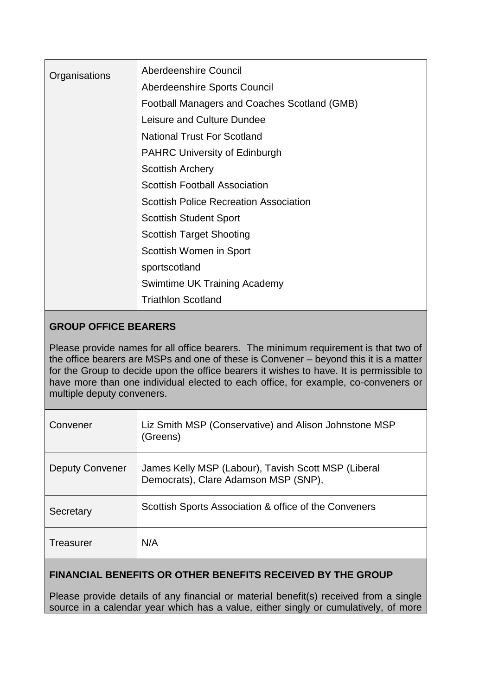| Organisations | Aberdeenshire Council                         |
|---------------|-----------------------------------------------|
|               | Aberdeenshire Sports Council                  |
|               | Football Managers and Coaches Scotland (GMB)  |
|               | Leisure and Culture Dundee                    |
|               | <b>National Trust For Scotland</b>            |
|               | <b>PAHRC University of Edinburgh</b>          |
|               | <b>Scottish Archery</b>                       |
|               | <b>Scottish Football Association</b>          |
|               | <b>Scottish Police Recreation Association</b> |
|               | <b>Scottish Student Sport</b>                 |
|               | <b>Scottish Target Shooting</b>               |
|               | Scottish Women in Sport                       |
|               | sportscotland                                 |
|               | <b>Swimtime UK Training Academy</b>           |
|               | <b>Triathlon Scotland</b>                     |

# **GROUP OFFICE BEARERS**

Please provide names for all office bearers. The minimum requirement is that two of the office bearers are MSPs and one of these is Convener – beyond this it is a matter for the Group to decide upon the office bearers it wishes to have. It is permissible to have more than one individual elected to each office, for example, co-conveners or multiple deputy conveners.

| Convener        | Liz Smith MSP (Conservative) and Alison Johnstone MSP<br>(Greens)                           |
|-----------------|---------------------------------------------------------------------------------------------|
| Deputy Convener | James Kelly MSP (Labour), Tavish Scott MSP (Liberal<br>Democrats), Clare Adamson MSP (SNP), |
| Secretary       | Scottish Sports Association & office of the Conveners                                       |
| Treasurer       | N/A                                                                                         |

## **FINANCIAL BENEFITS OR OTHER BENEFITS RECEIVED BY THE GROUP**

Please provide details of any financial or material benefit(s) received from a single source in a calendar year which has a value, either singly or cumulatively, of more